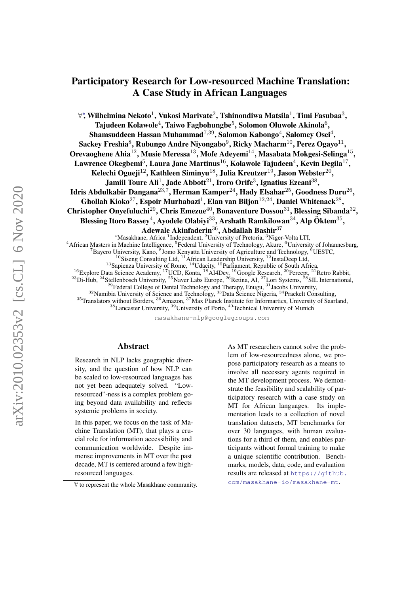# <span id="page-0-0"></span>Participatory Research for Low-resourced Machine Translation: A Case Study in African Languages

 $\forall$ \*, Wilhelmina Nekoto $^1$ , Vukosi Marivate $^2$ , Tshinondiwa Matsila $^1$ , Timi Fasubaa $^3,$ Tajudeen Kolawole $^4$ , Taiwo Fagbohungbe $^5$ , Solomon Oluwole Akinola $^6,$ Shamsuddeen Hassan Muhammad $^{7,39},$  Salomon Kabongo $^4,$  Salomey Osei $^4,$ Sackey Freshia ${}^{8},$  Rubungo Andre Niyongabo ${}^{9},$  Ricky Macharm ${}^{10},$  Perez Ogayo ${}^{11},$ Orevaoghene Ahia $^{12}$ , Musie Meressa $^{13}$ , Mofe Adeyemi $^{14}$ , Masabata Mokgesi-Selinga $^{15}$ ,  ${\rm Lawrence}$  Okegbemi $^5$ , Laura Jane Martinus $^{16}$ , Kolawole Tajudeen $^4$ , Kevin Degila $^{17}$ , Kelechi Ogueji $^{12}$ , Kathleen Siminyu $^{18}$ , Julia Kreutzer $^{19}$ , Jason Webster $^{20}$ , Jamiil Toure Ali $^1$ , Jade Abbott $^{21}$ , Iroro Orife $^3$ , Ignatius Ezeani $^{38},$ Idris Abdulkabir Dangana $^{23,7}$ , Herman Kamper $^{24}$ , Hady Elsahar $^{25}$ , Goodness Duru $^{26},$ Ghollah Kioko<sup>27</sup>, Espoir Murhabazi<sup>1</sup>, Elan van Biljon<sup>12,24</sup>, Daniel Whitenack<sup>28</sup>, Christopher Onyefuluchi<sup>29</sup>, Chris Emezue<sup>40</sup>, Bonaventure Dossou<sup>31</sup>, Blessing Sibanda<sup>32</sup>, Blessing Itoro Bassey $^4$ , Ayodele Olabiyi $^{33}$ , Arshath Ramkilowan $^{34}$ , Alp Öktem $^{35},$ Adewale Akinfaderin<sup>36</sup>, Abdallah Bashir<sup>37</sup>

<sup>∗</sup>Masakhane, Africa <sup>1</sup> Independent, <sup>2</sup>University of Pretoria, <sup>3</sup>Niger-Volta LTI, <sup>4</sup> African Masters in Machine Intelligence, <sup>5</sup> Federal University of Technology, Akure, <sup>6</sup>University of Johannesburg, <sup>7</sup>Bayero University, Kano, <sup>8</sup>Jomo Kenyatta University of Agriculture and Technology, <sup>9</sup>UESTC,  $10$ Siseng Consulting Ltd,  $11$ African Leadership University,  $12$ InstaDeep Ltd,  $13$ Sapienza University of Rome,  $14$ Udacity,  $15$ Parliament, Republic of South Africa, <sup>16</sup>Explore Data Science Academy, <sup>17</sup>UCD, Konta, <sup>18</sup>AI4Dev, <sup>19</sup>Google Research, <sup>20</sup>Percept, <sup>21</sup>Retro Rabbit,  $^{23}$ Di-Hub,  $^{24}$ Stellenbosch University,  $^{25}$ Naver Labs Europe,  $^{26}$ Retina, AI,  $^{27}$ Lori Systems,  $^{28}$ SIL International,  $^{29}$ Federal College of Dental Technology and Therapy, Enugu,  $^{31}$ Jacobs University,  $32$ Namibia University of Science and Technology,  $33$ Data Science Nigeria,  $34$ Praekelt Consulting, <sup>35</sup>Translators without Borders, <sup>36</sup>Amazon, <sup>37</sup>Max Planck Institute for Informartics, University of Saarland,

<sup>38</sup>Lancaster University, <sup>39</sup>University of Porto, <sup>40</sup>Technical University of Munich

masakhane-nlp@googlegroups.com

#### Abstract

Research in NLP lacks geographic diversity, and the question of how NLP can be scaled to low-resourced languages has not yet been adequately solved. "Lowresourced"-ness is a complex problem going beyond data availability and reflects systemic problems in society.

In this paper, we focus on the task of Machine Translation (MT), that plays a crucial role for information accessibility and communication worldwide. Despite immense improvements in MT over the past decade, MT is centered around a few highresourced languages.

As MT researchers cannot solve the problem of low-resourcedness alone, we propose participatory research as a means to involve all necessary agents required in the MT development process. We demonstrate the feasibility and scalability of participatory research with a case study on MT for African languages. Its implementation leads to a collection of novel translation datasets, MT benchmarks for over 30 languages, with human evaluations for a third of them, and enables participants without formal training to make a unique scientific contribution. Benchmarks, models, data, code, and evaluation results are released at [https://github.](https://github.com/masakhane-io/masakhane-mt) [com/masakhane-io/masakhane-mt](https://github.com/masakhane-io/masakhane-mt).

<sup>∗</sup>∀ to represent the whole Masakhane community.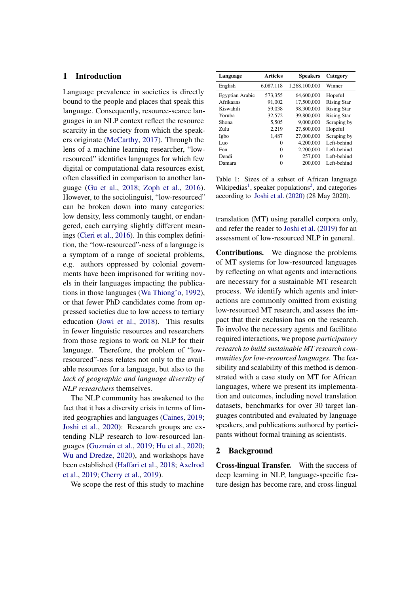# <span id="page-1-1"></span>1 Introduction

Language prevalence in societies is directly bound to the people and places that speak this language. Consequently, resource-scarce languages in an NLP context reflect the resource scarcity in the society from which the speakers originate [\(McCarthy,](#page-12-0) [2017\)](#page-12-0). Through the lens of a machine learning researcher, "lowresourced" identifies languages for which few digital or computational data resources exist, often classified in comparison to another language [\(Gu et al.,](#page-11-0) [2018;](#page-11-0) [Zoph et al.,](#page-14-0) [2016\)](#page-14-0). However, to the sociolinguist, "low-resourced" can be broken down into many categories: low density, less commonly taught, or endangered, each carrying slightly different meanings [\(Cieri et al.,](#page-11-1) [2016\)](#page-11-1). In this complex definition, the "low-resourced"-ness of a language is a symptom of a range of societal problems, e.g. authors oppressed by colonial governments have been imprisoned for writing novels in their languages impacting the publications in those languages [\(Wa Thiong'o,](#page-14-1) [1992\)](#page-14-1), or that fewer PhD candidates come from oppressed societies due to low access to tertiary education [\(Jowi et al.,](#page-12-1) [2018\)](#page-12-1). This results in fewer linguistic resources and researchers from those regions to work on NLP for their language. Therefore, the problem of "lowresourced"-ness relates not only to the available resources for a language, but also to the *lack of geographic and language diversity of NLP researchers* themselves.

The NLP community has awakened to the fact that it has a diversity crisis in terms of limited geographies and languages [\(Caines,](#page-10-0) [2019;](#page-10-0) [Joshi et al.,](#page-12-2) [2020\)](#page-12-2): Research groups are extending NLP research to low-resourced lan-guages (Guzmán et al., [2019;](#page-12-3) [Hu et al.,](#page-12-4) [2020;](#page-12-4) [Wu and Dredze,](#page-14-2) [2020\)](#page-14-2), and workshops have been established [\(Haffari et al.,](#page-12-5) [2018;](#page-12-5) [Axelrod](#page-10-1) [et al.,](#page-10-1) [2019;](#page-10-1) [Cherry et al.,](#page-10-2) [2019\)](#page-10-2).

We scope the rest of this study to machine

<span id="page-1-0"></span>

| Language        | <b>Articles</b> | <b>Speakers</b> | Category           |
|-----------------|-----------------|-----------------|--------------------|
| English         | 6,087,118       | 1,268,100,000   | Winner             |
| Egyptian Arabic | 573,355         | 64,600,000      | Hopeful            |
| Afrikaans       | 91.002          | 17,500,000      | <b>Rising Star</b> |
| Kiswahili       | 59.038          | 98,300,000      | <b>Rising Star</b> |
| Yoruba          | 32,572          | 39,800,000      | <b>Rising Star</b> |
| Shona           | 5,505           | 9,000,000       | Scraping by        |
| Zulu            | 2.219           | 27,800,000      | Hopeful            |
| Igbo            | 1,487           | 27,000,000      | Scraping by        |
| Luo             | 0               | 4,200,000       | Left-behind        |
| Fon             | $\Omega$        | 2,200,000       | Left-behind        |
| Dendi           | 0               | 257,000         | Left-behind        |
| Damara          | 0               | 200,000         | Left-behind        |

Table 1: Sizes of a subset of African language Wikipedias<sup>[1](#page-0-0)</sup>, speaker populations<sup>[2](#page-0-0)</sup>, and categories according to [Joshi et al.](#page-12-2) [\(2020\)](#page-12-2) (28 May 2020).

translation (MT) using parallel corpora only, and refer the reader to [Joshi et al.](#page-12-6) [\(2019\)](#page-12-6) for an assessment of low-resourced NLP in general.

Contributions. We diagnose the problems of MT systems for low-resourced languages by reflecting on what agents and interactions are necessary for a sustainable MT research process. We identify which agents and interactions are commonly omitted from existing low-resourced MT research, and assess the impact that their exclusion has on the research. To involve the necessary agents and facilitate required interactions, we propose *participatory research to build sustainable MT research communities for low-resourced languages*. The feasibility and scalability of this method is demonstrated with a case study on MT for African languages, where we present its implementation and outcomes, including novel translation datasets, benchmarks for over 30 target languages contributed and evaluated by language speakers, and publications authored by participants without formal training as scientists.

#### <span id="page-1-2"></span>2 Background

Cross-lingual Transfer. With the success of deep learning in NLP, language-specific feature design has become rare, and cross-lingual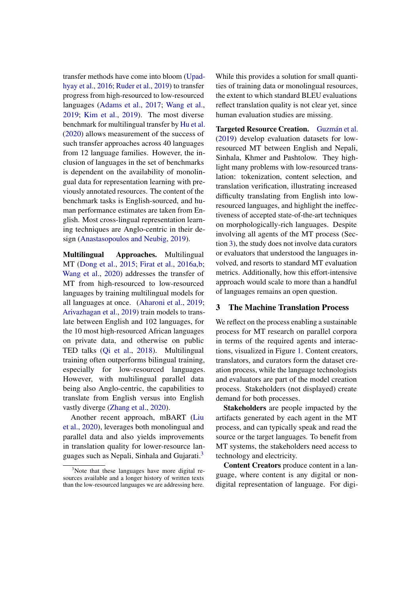transfer methods have come into bloom [\(Upad](#page-14-3)[hyay et al.,](#page-14-3) [2016;](#page-14-3) [Ruder et al.,](#page-13-0) [2019\)](#page-13-0) to transfer progress from high-resourced to low-resourced languages [\(Adams et al.,](#page-10-3) [2017;](#page-10-3) [Wang et al.,](#page-14-4) [2019;](#page-14-4) [Kim et al.,](#page-12-7) [2019\)](#page-12-7). The most diverse benchmark for multilingual transfer by [Hu et al.](#page-12-4) [\(2020\)](#page-12-4) allows measurement of the success of such transfer approaches across 40 languages from 12 language families. However, the inclusion of languages in the set of benchmarks is dependent on the availability of monolingual data for representation learning with previously annotated resources. The content of the benchmark tasks is English-sourced, and human performance estimates are taken from English. Most cross-lingual representation learning techniques are Anglo-centric in their design [\(Anastasopoulos and Neubig,](#page-10-4) [2019\)](#page-10-4).

Multilingual Approaches. Multilingual MT [\(Dong et al.,](#page-11-2) [2015;](#page-11-2) [Firat et al.,](#page-11-3) [2016a,](#page-11-3)[b;](#page-11-4) [Wang et al.,](#page-14-5) [2020\)](#page-14-5) addresses the transfer of MT from high-resourced to low-resourced languages by training multilingual models for all languages at once. [\(Aharoni et al.,](#page-10-5) [2019;](#page-10-5) [Arivazhagan et al.,](#page-10-6) [2019\)](#page-10-6) train models to translate between English and 102 languages, for the 10 most high-resourced African languages on private data, and otherwise on public TED talks [\(Qi et al.,](#page-13-1) [2018\)](#page-13-1). Multilingual training often outperforms bilingual training, especially for low-resourced languages. However, with multilingual parallel data being also Anglo-centric, the capabilities to translate from English versus into English vastly diverge [\(Zhang et al.,](#page-14-6) [2020\)](#page-14-6).

Another recent approach, mBART [\(Liu](#page-12-8) [et al.,](#page-12-8) [2020\)](#page-12-8), leverages both monolingual and parallel data and also yields improvements in translation quality for lower-resource languages such as Nepali, Sinhala and Gujarati.[3](#page-2-0)

While this provides a solution for small quantities of training data or monolingual resources, the extent to which standard BLEU evaluations reflect translation quality is not clear yet, since human evaluation studies are missing.

Targeted Resource Creation. Guzmán et al. [\(2019\)](#page-12-3) develop evaluation datasets for lowresourced MT between English and Nepali, Sinhala, Khmer and Pashtolow. They highlight many problems with low-resourced translation: tokenization, content selection, and translation verification, illustrating increased difficulty translating from English into lowresourced languages, and highlight the ineffectiveness of accepted state-of-the-art techniques on morphologically-rich languages. Despite involving all agents of the MT process (Section [3\)](#page-2-1), the study does not involve data curators or evaluators that understood the languages involved, and resorts to standard MT evaluation metrics. Additionally, how this effort-intensive approach would scale to more than a handful of languages remains an open question.

## <span id="page-2-1"></span>3 The Machine Translation Process

We reflect on the process enabling a sustainable process for MT research on parallel corpora in terms of the required agents and interactions, visualized in Figure [1.](#page-3-0) Content creators, translators, and curators form the dataset creation process, while the language technologists and evaluators are part of the model creation process. Stakeholders (not displayed) create demand for both processes.

Stakeholders are people impacted by the artifacts generated by each agent in the MT process, and can typically speak and read the source or the target languages. To benefit from MT systems, the stakeholders need access to technology and electricity.

Content Creators produce content in a language, where content is any digital or nondigital representation of language. For digi-

<span id="page-2-0"></span><sup>&</sup>lt;sup>3</sup>Note that these languages have more digital resources available and a longer history of written texts than the low-resourced languages we are addressing here.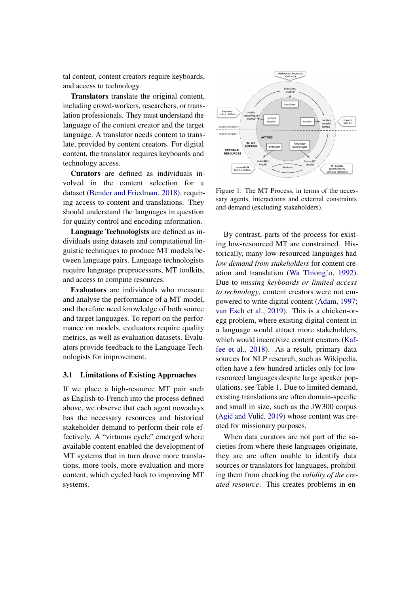tal content, content creators require keyboards, and access to technology.

Translators translate the original content, including crowd-workers, researchers, or translation professionals. They must understand the language of the content creator and the target language. A translator needs content to translate, provided by content creators. For digital content, the translator requires keyboards and technology access.

Curators are defined as individuals involved in the content selection for a dataset [\(Bender and Friedman,](#page-10-7) [2018\)](#page-10-7), requiring access to content and translations. They should understand the languages in question for quality control and encoding information.

Language Technologists are defined as individuals using datasets and computational linguistic techniques to produce MT models between language pairs. Language technologists require language preprocessors, MT toolkits, and access to compute resources.

Evaluators are individuals who measure and analyse the performance of a MT model, and therefore need knowledge of both source and target languages. To report on the performance on models, evaluators require quality metrics, as well as evaluation datasets. Evaluators provide feedback to the Language Technologists for improvement.

## <span id="page-3-1"></span>3.1 Limitations of Existing Approaches

If we place a high-resource MT pair such as English-to-French into the process defined above, we observe that each agent nowadays has the necessary resources and historical stakeholder demand to perform their role effectively. A "virtuous cycle" emerged where available content enabled the development of MT systems that in turn drove more translations, more tools, more evaluation and more content, which cycled back to improving MT systems.

<span id="page-3-0"></span>

Figure 1: The MT Process, in terms of the necessary agents, interactions and external constraints and demand (excluding stakeholders).

By contrast, parts of the process for existing low-resourced MT are constrained. Historically, many low-resourced languages had *low demand from stakeholders* for content creation and translation [\(Wa Thiong'o,](#page-14-1) [1992\)](#page-14-1). Due to *missing keyboards or limited access to technology*, content creators were not empowered to write digital content [\(Adam,](#page-10-8) [1997;](#page-10-8) [van Esch et al.,](#page-11-5) [2019\)](#page-11-5). This is a chicken-oregg problem, where existing digital content in a language would attract more stakeholders, which would incentivize content creators [\(Kaf](#page-12-9)[fee et al.,](#page-12-9) [2018\)](#page-12-9). As a result, primary data sources for NLP research, such as Wikipedia, often have a few hundred articles only for lowresourced languages despite large speaker populations, see Table [1.](#page-1-0) Due to limited demand, existing translations are often domain-specific and small in size, such as the JW300 corpus (Agić and Vulić, [2019\)](#page-10-9) whose content was created for missionary purposes.

When data curators are not part of the societies from where these languages originate, they are are often unable to identify data sources or translators for languages, prohibiting them from checking the *validity of the created resource*. This creates problems in en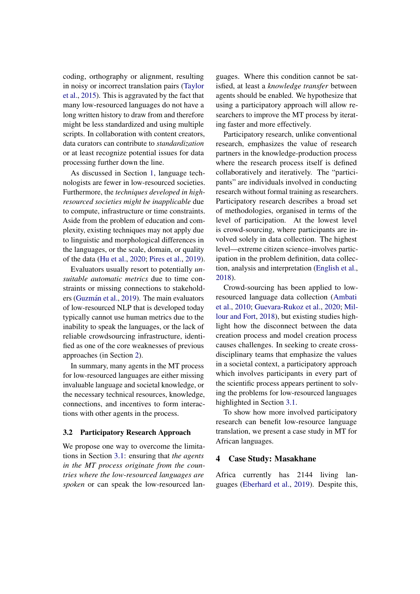coding, orthography or alignment, resulting in noisy or incorrect translation pairs [\(Taylor](#page-13-2) [et al.,](#page-13-2) [2015\)](#page-13-2). This is aggravated by the fact that many low-resourced languages do not have a long written history to draw from and therefore might be less standardized and using multiple scripts. In collaboration with content creators, data curators can contribute to *standardization* or at least recognize potential issues for data processing further down the line.

As discussed in Section [1,](#page-1-1) language technologists are fewer in low-resourced societies. Furthermore, the *techniques developed in highresourced societies might be inapplicable* due to compute, infrastructure or time constraints. Aside from the problem of education and complexity, existing techniques may not apply due to linguistic and morphological differences in the languages, or the scale, domain, or quality of the data [\(Hu et al.,](#page-12-4) [2020;](#page-12-4) [Pires et al.,](#page-13-3) [2019\)](#page-13-3).

Evaluators usually resort to potentially *unsuitable automatic metrics* due to time constraints or missing connections to stakehold-ers (Guzmán et al., [2019\)](#page-12-3). The main evaluators of low-resourced NLP that is developed today typically cannot use human metrics due to the inability to speak the languages, or the lack of reliable crowdsourcing infrastructure, identified as one of the core weaknesses of previous approaches (in Section [2\)](#page-1-2).

In summary, many agents in the MT process for low-resourced languages are either missing invaluable language and societal knowledge, or the necessary technical resources, knowledge, connections, and incentives to form interactions with other agents in the process.

#### 3.2 Participatory Research Approach

We propose one way to overcome the limitations in Section [3.1:](#page-3-1) ensuring that *the agents in the MT process originate from the countries where the low-resourced languages are spoken* or can speak the low-resourced languages. Where this condition cannot be satisfied, at least a *knowledge transfer* between agents should be enabled. We hypothesize that using a participatory approach will allow researchers to improve the MT process by iterating faster and more effectively.

Participatory research, unlike conventional research, emphasizes the value of research partners in the knowledge-production process where the research process itself is defined collaboratively and iteratively. The "participants" are individuals involved in conducting research without formal training as researchers. Participatory research describes a broad set of methodologies, organised in terms of the level of participation. At the lowest level is crowd-sourcing, where participants are involved solely in data collection. The highest level—extreme citizen science–involves participation in the problem definition, data collection, analysis and interpretation [\(English et al.,](#page-11-6) [2018\)](#page-11-6).

Crowd-sourcing has been applied to lowresourced language data collection [\(Ambati](#page-10-10) [et al.,](#page-10-10) [2010;](#page-10-10) [Guevara-Rukoz et al.,](#page-12-10) [2020;](#page-12-10) [Mil](#page-13-4)[lour and Fort,](#page-13-4) [2018\)](#page-13-4), but existing studies highlight how the disconnect between the data creation process and model creation process causes challenges. In seeking to create crossdisciplinary teams that emphasize the values in a societal context, a participatory approach which involves participants in every part of the scientific process appears pertinent to solving the problems for low-resourced languages highlighted in Section [3.1.](#page-3-1)

To show how more involved participatory research can benefit low-resource language translation, we present a case study in MT for African languages.

## <span id="page-4-0"></span>4 Case Study: Masakhane

Africa currently has 2144 living languages [\(Eberhard et al.,](#page-11-7) [2019\)](#page-11-7). Despite this,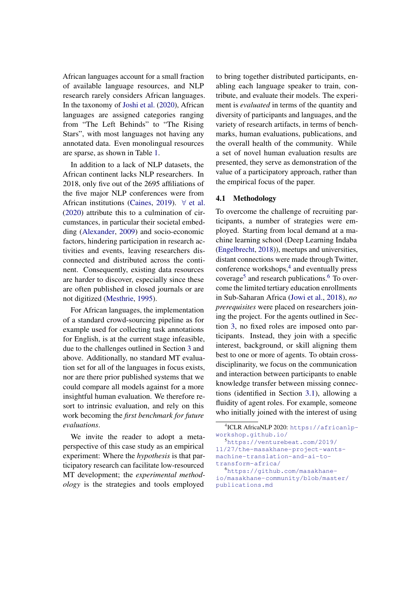African languages account for a small fraction of available language resources, and NLP research rarely considers African languages. In the taxonomy of [Joshi et al.](#page-12-2) [\(2020\)](#page-12-2), African languages are assigned categories ranging from "The Left Behinds" to "The Rising Stars", with most languages not having any annotated data. Even monolingual resources are sparse, as shown in Table [1.](#page-1-0)

In addition to a lack of NLP datasets, the African continent lacks NLP researchers. In 2018, only five out of the 2695 affiliations of the five major NLP conferences were from African institutions [\(Caines,](#page-10-0) [2019\)](#page-10-0). ∀ [et al.](#page-11-8) [\(2020\)](#page-11-8) attribute this to a culmination of circumstances, in particular their societal embedding [\(Alexander,](#page-10-11) [2009\)](#page-10-11) and socio-economic factors, hindering participation in research activities and events, leaving researchers disconnected and distributed across the continent. Consequently, existing data resources are harder to discover, especially since these are often published in closed journals or are not digitized [\(Mesthrie,](#page-13-5) [1995\)](#page-13-5).

For African languages, the implementation of a standard crowd-sourcing pipeline as for example used for collecting task annotations for English, is at the current stage infeasible, due to the challenges outlined in Section [3](#page-2-1) and above. Additionally, no standard MT evaluation set for all of the languages in focus exists, nor are there prior published systems that we could compare all models against for a more insightful human evaluation. We therefore resort to intrinsic evaluation, and rely on this work becoming the *first benchmark for future evaluations*.

We invite the reader to adopt a metaperspective of this case study as an empirical experiment: Where the *hypothesis* is that participatory research can facilitate low-resourced MT development; the *experimental methodology* is the strategies and tools employed to bring together distributed participants, enabling each language speaker to train, contribute, and evaluate their models. The experiment is *evaluated* in terms of the quantity and diversity of participants and languages, and the variety of research artifacts, in terms of benchmarks, human evaluations, publications, and the overall health of the community. While a set of novel human evaluation results are presented, they serve as demonstration of the value of a participatory approach, rather than the empirical focus of the paper.

#### 4.1 Methodology

To overcome the challenge of recruiting participants, a number of strategies were employed. Starting from local demand at a machine learning school (Deep Learning Indaba [\(Engelbrecht,](#page-11-9) [2018\)](#page-11-9)), meetups and universities, distant connections were made through Twitter, conference workshops,<sup>[4](#page-5-0)</sup> and eventually press coverage<sup>[5](#page-5-1)</sup> and research publications.<sup>[6](#page-5-2)</sup> To overcome the limited tertiary education enrollments in Sub-Saharan Africa [\(Jowi et al.,](#page-12-1) [2018\)](#page-12-1), *no prerequisites* were placed on researchers joining the project. For the agents outlined in Section [3,](#page-2-1) no fixed roles are imposed onto participants. Instead, they join with a specific interest, background, or skill aligning them best to one or more of agents. To obtain crossdisciplinarity, we focus on the communication and interaction between participants to enable knowledge transfer between missing connections (identified in Section [3.1\)](#page-3-1), allowing a fluidity of agent roles. For example, someone who initially joined with the interest of using

<span id="page-5-0"></span><sup>4</sup> ICLR AfricaNLP 2020: [https://africanlp](https://africanlp-workshop.github.io/)[workshop.github.io/](https://africanlp-workshop.github.io/) <sup>5</sup>[https://venturebeat.com/2019/](https://venturebeat.com/2019/11/27/the-masakhane-project-wants-machine-translation-and-ai-to-transform-africa/)

<span id="page-5-1"></span>[<sup>11/27/</sup>the-masakhane-project-wants](https://venturebeat.com/2019/11/27/the-masakhane-project-wants-machine-translation-and-ai-to-transform-africa/)[machine-translation-and-ai-to](https://venturebeat.com/2019/11/27/the-masakhane-project-wants-machine-translation-and-ai-to-transform-africa/)[transform-africa/](https://venturebeat.com/2019/11/27/the-masakhane-project-wants-machine-translation-and-ai-to-transform-africa/)

<span id="page-5-2"></span><sup>6</sup>[https://github.com/masakhane](https://github.com/masakhane-io/masakhane-community/blob/master/publications.md)[io/masakhane-community/blob/master/](https://github.com/masakhane-io/masakhane-community/blob/master/publications.md) [publications.md](https://github.com/masakhane-io/masakhane-community/blob/master/publications.md)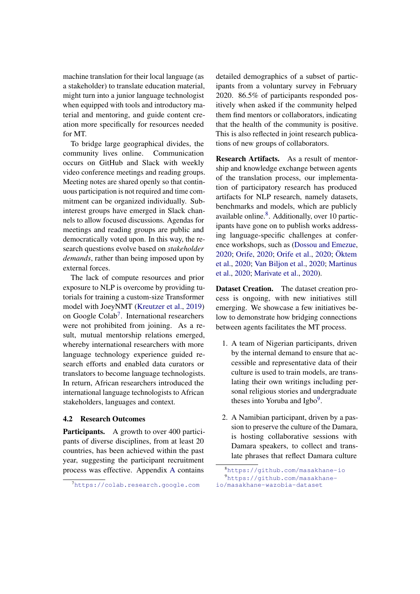machine translation for their local language (as a stakeholder) to translate education material, might turn into a junior language technologist when equipped with tools and introductory material and mentoring, and guide content creation more specifically for resources needed for MT.

To bridge large geographical divides, the community lives online. Communication occurs on GitHub and Slack with weekly video conference meetings and reading groups. Meeting notes are shared openly so that continuous participation is not required and time commitment can be organized individually. Subinterest groups have emerged in Slack channels to allow focused discussions. Agendas for meetings and reading groups are public and democratically voted upon. In this way, the research questions evolve based on *stakeholder demands*, rather than being imposed upon by external forces.

The lack of compute resources and prior exposure to NLP is overcome by providing tutorials for training a custom-size Transformer model with JoeyNMT [\(Kreutzer et al.,](#page-12-11) [2019\)](#page-12-11) on Google Colab<sup>[7](#page-6-0)</sup>. International researchers were not prohibited from joining. As a result, mutual mentorship relations emerged, whereby international researchers with more language technology experience guided research efforts and enabled data curators or translators to become language technologists. In return, African researchers introduced the international language technologists to African stakeholders, languages and context.

## 4.2 Research Outcomes

Participants. A growth to over 400 participants of diverse disciplines, from at least 20 countries, has been achieved within the past year, suggesting the participant recruitment process was effective. Appendix [A](#page-15-0) contains

detailed demographics of a subset of participants from a voluntary survey in February 2020. 86.5% of participants responded positively when asked if the community helped them find mentors or collaborators, indicating that the health of the community is positive. This is also reflected in joint research publications of new groups of collaborators.

Research Artifacts. As a result of mentorship and knowledge exchange between agents of the translation process, our implementation of participatory research has produced artifacts for NLP research, namely datasets, benchmarks and models, which are publicly available online.<sup>[8](#page-6-1)</sup>. Additionally, over 10 participants have gone on to publish works addressing language-specific challenges at conference workshops, such as [\(Dossou and Emezue,](#page-11-10) [2020;](#page-11-10) [Orife,](#page-13-6) [2020;](#page-13-6) [Orife et al.,](#page-13-7) [2020;](#page-13-7) [Oktem](#page-13-8) ¨ [et al.,](#page-13-8) [2020;](#page-13-8) [Van Biljon et al.,](#page-14-7) [2020;](#page-14-7) [Martinus](#page-12-12) [et al.,](#page-12-12) [2020;](#page-12-12) [Marivate et al.,](#page-12-13) [2020\)](#page-12-13).

Dataset Creation. The dataset creation process is ongoing, with new initiatives still emerging. We showcase a few initiatives below to demonstrate how bridging connections between agents facilitates the MT process.

- 1. A team of Nigerian participants, driven by the internal demand to ensure that accessible and representative data of their culture is used to train models, are translating their own writings including personal religious stories and undergraduate theses into Yoruba and Igbo<sup>[9](#page-6-2)</sup>.
- 2. A Namibian participant, driven by a passion to preserve the culture of the Damara, is hosting collaborative sessions with Damara speakers, to collect and translate phrases that reflect Damara culture

<span id="page-6-0"></span><sup>7</sup><https://colab.research.google.com>

<span id="page-6-2"></span><span id="page-6-1"></span><sup>8</sup>[https://github.com/masakhane-io]( https://github.com/masakhane-io) <sup>9</sup>[https://github.com/masakhane](https://github.com/masakhane-io/masakhane-wazobia-dataset)[io/masakhane-wazobia-dataset](https://github.com/masakhane-io/masakhane-wazobia-dataset)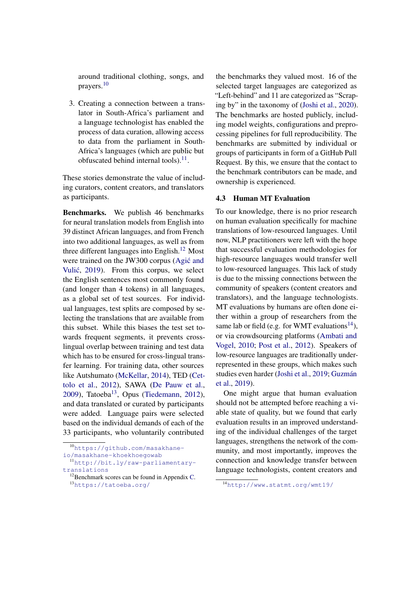around traditional clothing, songs, and prayers.[10](#page-7-0)

3. Creating a connection between a translator in South-Africa's parliament and a language technologist has enabled the process of data curation, allowing access to data from the parliament in South-Africa's languages (which are public but obfuscated behind internal tools). $^{11}$  $^{11}$  $^{11}$ .

These stories demonstrate the value of including curators, content creators, and translators as participants.

Benchmarks. We publish 46 benchmarks for neural translation models from English into 39 distinct African languages, and from French into two additional languages, as well as from three different languages into English.<sup>[12](#page-7-2)</sup> Most were trained on the JW300 corpus (Agić and Vulić, [2019\)](#page-10-9). From this corpus, we select the English sentences most commonly found (and longer than 4 tokens) in all languages, as a global set of test sources. For individual languages, test splits are composed by selecting the translations that are available from this subset. While this biases the test set towards frequent segments, it prevents crosslingual overlap between training and test data which has to be ensured for cross-lingual transfer learning. For training data, other sources like Autshumato [\(McKellar,](#page-13-9) [2014\)](#page-13-9), TED [\(Cet](#page-10-12)[tolo et al.,](#page-10-12) [2012\)](#page-10-12), SAWA [\(De Pauw et al.,](#page-11-11)  $2009$ ), Tatoeba<sup>[13](#page-7-3)</sup>, Opus [\(Tiedemann,](#page-13-10) [2012\)](#page-13-10), and data translated or curated by participants were added. Language pairs were selected based on the individual demands of each of the 33 participants, who voluntarily contributed

the benchmarks they valued most. 16 of the selected target languages are categorized as "Left-behind" and 11 are categorized as "Scraping by" in the taxonomy of [\(Joshi et al.,](#page-12-2) [2020\)](#page-12-2). The benchmarks are hosted publicly, including model weights, configurations and preprocessing pipelines for full reproducibility. The benchmarks are submitted by individual or groups of participants in form of a GitHub Pull Request. By this, we ensure that the contact to the benchmark contributors can be made, and ownership is experienced.

## 4.3 Human MT Evaluation

To our knowledge, there is no prior research on human evaluation specifically for machine translations of low-resourced languages. Until now, NLP practitioners were left with the hope that successful evaluation methodologies for high-resource languages would transfer well to low-resourced languages. This lack of study is due to the missing connections between the community of speakers (content creators and translators), and the language technologists. MT evaluations by humans are often done either within a group of researchers from the same lab or field (e.g. for WMT evaluations<sup>[14](#page-7-4)</sup>), or via crowdsourcing platforms [\(Ambati and](#page-10-13) [Vogel,](#page-10-13) [2010;](#page-10-13) [Post et al.,](#page-13-11) [2012\)](#page-13-11). Speakers of low-resource languages are traditionally underrepresented in these groups, which makes such studies even harder [\(Joshi et al.,](#page-12-6) [2019;](#page-12-6) Guzmán [et al.,](#page-12-3) [2019\)](#page-12-3).

One might argue that human evaluation should not be attempted before reaching a viable state of quality, but we found that early evaluation results in an improved understanding of the individual challenges of the target languages, strengthens the network of the community, and most importantly, improves the connection and knowledge transfer between language technologists, content creators and

<span id="page-7-0"></span><sup>10</sup>[https://github.com/masakhane-](https://github.com/masakhane-io/masakhane-khoekhoegowab)

[io/masakhane-khoekhoegowab](https://github.com/masakhane-io/masakhane-khoekhoegowab)

<span id="page-7-1"></span><sup>11</sup>[http://bit.ly/raw-parliamentary](http://bit.ly/raw-parliamentary-translations)[translations](http://bit.ly/raw-parliamentary-translations)

<span id="page-7-3"></span><span id="page-7-2"></span> $12$ Benchmark scores can be found in Appendix [C.](#page-15-1) <sup>13</sup><https://tatoeba.org/>

<span id="page-7-4"></span><sup>14</sup><http://www.statmt.org/wmt19/>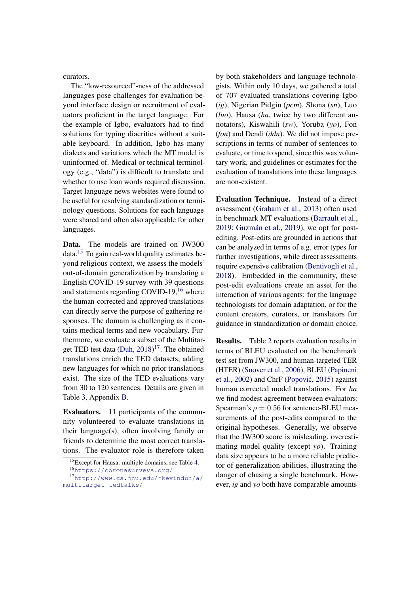curators.

The "low-resourced"-ness of the addressed languages pose challenges for evaluation beyond interface design or recruitment of evaluators proficient in the target language. For the example of Igbo, evaluators had to find solutions for typing diacritics without a suitable keyboard. In addition, Igbo has many dialects and variations which the MT model is uninformed of. Medical or technical terminology (e.g., "data") is difficult to translate and whether to use loan words required discussion. Target language news websites were found to be useful for resolving standardization or terminology questions. Solutions for each language were shared and often also applicable for other languages.

Data. The models are trained on JW300 data.[15](#page-8-0) To gain real-world quality estimates beyond religious context, we assess the models' out-of-domain generalization by translating a English COVID-19 survey with 39 questions and statements regarding COVID-19, $^{16}$  $^{16}$  $^{16}$  where the human-corrected and approved translations can directly serve the purpose of gathering responses. The domain is challenging as it contains medical terms and new vocabulary. Furthermore, we evaluate a subset of the Multitar-get TED test data [\(Duh,](#page-11-12) [2018\)](#page-11-12)<sup>[17](#page-8-2)</sup>. The obtained translations enrich the TED datasets, adding new languages for which no prior translations exist. The size of the TED evaluations vary from 30 to 120 sentences. Details are given in Table [3,](#page-15-2) Appendix [B.](#page-15-3)

Evaluators. 11 participants of the community volunteered to evaluate translations in their language(s), often involving family or friends to determine the most correct translations. The evaluator role is therefore taken

by both stakeholders and language technologists. Within only 10 days, we gathered a total of 707 evaluated translations covering Igbo (*ig*), Nigerian Pidgin (*pcm*), Shona (*sn*), Luo (*luo*), Hausa (*ha*, twice by two different annotators), Kiswahili (*sw*), Yoruba (*yo*), Fon (*fon*) and Dendi (*ddn*). We did not impose prescriptions in terms of number of sentences to evaluate, or time to spend, since this was voluntary work, and guidelines or estimates for the evaluation of translations into these languages are non-existent.

Evaluation Technique. Instead of a direct assessment [\(Graham et al.,](#page-11-13) [2013\)](#page-11-13) often used in benchmark MT evaluations [\(Barrault et al.,](#page-10-14) [2019;](#page-10-14) Guzmán et al., [2019\)](#page-12-3), we opt for postediting. Post-edits are grounded in actions that can be analyzed in terms of e.g. error types for further investigations, while direct assessments require expensive calibration [\(Bentivogli et al.,](#page-10-15) [2018\)](#page-10-15). Embedded in the community, these post-edit evaluations create an asset for the interaction of various agents: for the language technologists for domain adaptation, or for the content creators, curators, or translators for guidance in standardization or domain choice.

Results. Table [2](#page-9-0) reports evaluation results in terms of BLEU evaluated on the benchmark test set from JW300, and human-targeted TER (HTER) [\(Snover et al.,](#page-13-12) [2006\)](#page-13-12), BLEU [\(Papineni](#page-13-13) [et al.,](#page-13-13) [2002\)](#page-13-13) and ChrF [\(Popovic´,](#page-13-14) [2015\)](#page-13-14) against human corrected model translations. For *ha* we find modest agreement between evaluators: Spearman's  $\rho = 0.56$  for sentence-BLEU measurements of the post-edits compared to the original hypotheses. Generally, we observe that the JW300 score is misleading, overestimating model quality (except *yo*). Training data size appears to be a more reliable predictor of generalization abilities, illustrating the danger of chasing a single benchmark. However, *ig* and *yo* both have comparable amounts

<span id="page-8-0"></span><sup>15</sup>Except for Hausa: multiple domains, see Table [4.](#page-16-0)

<span id="page-8-2"></span><span id="page-8-1"></span><sup>16</sup><https://coronasurveys.org/>

<sup>17</sup>[http://www.cs.jhu.edu/˜kevinduh/a/](http://www.cs.jhu.edu/~kevinduh/a/multitarget-tedtalks/) [multitarget-tedtalks/](http://www.cs.jhu.edu/~kevinduh/a/multitarget-tedtalks/)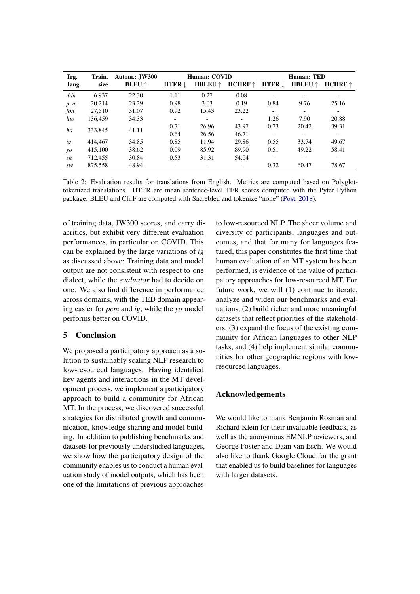<span id="page-9-0"></span>

| Trg.       | Train.  | Autom.: JW300          | Human: COVID             |                | Human: TED               |                          |                          |                          |
|------------|---------|------------------------|--------------------------|----------------|--------------------------|--------------------------|--------------------------|--------------------------|
| lang.      | size    | <b>BLEU</b> $\uparrow$ | <b>HTER</b> $\downarrow$ | <b>HBLEU</b> ↑ | $HCHRF \uparrow$         | <b>HTER</b> $\downarrow$ | <b>HBLEU</b> $\uparrow$  | $HCHRF \uparrow$         |
| ddn        | 6.937   | 22.30                  | 1.11                     | 0.27           | 0.08                     |                          |                          | $\overline{\phantom{a}}$ |
| pcm        | 20.214  | 23.29                  | 0.98                     | 3.03           | 0.19                     | 0.84                     | 9.76                     | 25.16                    |
| fon        | 27,510  | 31.07                  | 0.92                     | 15.43          | 23.22                    | $\overline{\phantom{a}}$ | $\overline{\phantom{a}}$ | -                        |
| luo        | 136,459 | 34.33                  | -                        |                | ٠                        | 1.26                     | 7.90                     | 20.88                    |
| ha         | 333,845 | 41.11                  | 0.71                     | 26.96          | 43.97                    | 0.73                     | 20.42                    | 39.31                    |
|            |         |                        | 0.64                     | 26.56          | 46.71                    |                          |                          | $\overline{\phantom{a}}$ |
| ig         | 414,467 | 34.85                  | 0.85                     | 11.94          | 29.86                    | 0.55                     | 33.74                    | 49.67                    |
| $\gamma$ o | 415,100 | 38.62                  | 0.09                     | 85.92          | 89.90                    | 0.51                     | 49.22                    | 58.41                    |
| sn         | 712,455 | 30.84                  | 0.53                     | 31.31          | 54.04                    | $\overline{\phantom{a}}$ |                          | $\overline{\phantom{a}}$ |
| sw         | 875,558 | 48.94                  | $\overline{\phantom{a}}$ |                | $\overline{\phantom{a}}$ | 0.32                     | 60.47                    | 78.67                    |

Table 2: Evaluation results for translations from English. Metrics are computed based on Polyglottokenized translations. HTER are mean sentence-level TER scores computed with the Pyter Python package. BLEU and ChrF are computed with Sacrebleu and tokenize "none" [\(Post,](#page-13-15) [2018\)](#page-13-15).

of training data, JW300 scores, and carry diacritics, but exhibit very different evaluation performances, in particular on COVID. This can be explained by the large variations of *ig* as discussed above: Training data and model output are not consistent with respect to one dialect, while the *evaluator* had to decide on one. We also find difference in performance across domains, with the TED domain appearing easier for *pcm* and *ig*, while the *yo* model performs better on COVID.

# 5 Conclusion

We proposed a participatory approach as a solution to sustainably scaling NLP research to low-resourced languages. Having identified key agents and interactions in the MT development process, we implement a participatory approach to build a community for African MT. In the process, we discovered successful strategies for distributed growth and communication, knowledge sharing and model building. In addition to publishing benchmarks and datasets for previously understudied languages, we show how the participatory design of the community enables us to conduct a human evaluation study of model outputs, which has been one of the limitations of previous approaches

to low-resourced NLP. The sheer volume and diversity of participants, languages and outcomes, and that for many for languages featured, this paper constitutes the first time that human evaluation of an MT system has been performed, is evidence of the value of participatory approaches for low-resourced MT. For future work, we will (1) continue to iterate, analyze and widen our benchmarks and evaluations, (2) build richer and more meaningful datasets that reflect priorities of the stakeholders, (3) expand the focus of the existing community for African languages to other NLP tasks, and (4) help implement similar communities for other geographic regions with lowresourced languages.

## Acknowledgements

We would like to thank Benjamin Rosman and Richard Klein for their invaluable feedback, as well as the anonymous EMNLP reviewers, and George Foster and Daan van Esch. We would also like to thank Google Cloud for the grant that enabled us to build baselines for languages with larger datasets.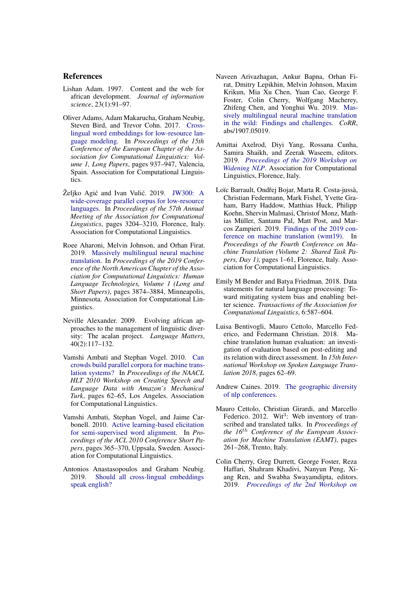## References

- <span id="page-10-8"></span>Lishan Adam. 1997. Content and the web for african development. *Journal of information science*, 23(1):91–97.
- <span id="page-10-3"></span>Oliver Adams, Adam Makarucha, Graham Neubig, Steven Bird, and Trevor Cohn. 2017. [Cross](https://www.aclweb.org/anthology/E17-1088)[lingual word embeddings for low-resource lan](https://www.aclweb.org/anthology/E17-1088)[guage modeling.](https://www.aclweb.org/anthology/E17-1088) In *Proceedings of the 15th Conference of the European Chapter of the Association for Computational Linguistics: Volume 1, Long Papers*, pages 937–947, Valencia, Spain. Association for Computational Linguistics.
- <span id="page-10-9"></span>Željko Agić and Ivan Vulić. 2019. [JW300: A](https://doi.org/10.18653/v1/P19-1310) [wide-coverage parallel corpus for low-resource](https://doi.org/10.18653/v1/P19-1310) [languages.](https://doi.org/10.18653/v1/P19-1310) In *Proceedings of the 57th Annual Meeting of the Association for Computational Linguistics*, pages 3204–3210, Florence, Italy. Association for Computational Linguistics.
- <span id="page-10-5"></span>Roee Aharoni, Melvin Johnson, and Orhan Firat. 2019. [Massively multilingual neural machine](https://doi.org/10.18653/v1/N19-1388) [translation.](https://doi.org/10.18653/v1/N19-1388) In *Proceedings of the 2019 Conference of the North American Chapter of the Association for Computational Linguistics: Human Language Technologies, Volume 1 (Long and Short Papers)*, pages 3874–3884, Minneapolis, Minnesota. Association for Computational Linguistics.
- <span id="page-10-11"></span>Neville Alexander. 2009. Evolving african approaches to the management of linguistic diversity: The acalan project. *Language Matters*, 40(2):117–132.
- <span id="page-10-13"></span>Vamshi Ambati and Stephan Vogel. 2010. [Can](https://www.aclweb.org/anthology/W10-0710) [crowds build parallel corpora for machine trans](https://www.aclweb.org/anthology/W10-0710)[lation systems?](https://www.aclweb.org/anthology/W10-0710) In *Proceedings of the NAACL HLT 2010 Workshop on Creating Speech and Language Data with Amazon's Mechanical Turk*, pages 62–65, Los Angeles. Association for Computational Linguistics.
- <span id="page-10-10"></span>Vamshi Ambati, Stephan Vogel, and Jaime Carbonell. 2010. [Active learning-based elicitation](https://www.aclweb.org/anthology/P10-2067) [for semi-supervised word alignment.](https://www.aclweb.org/anthology/P10-2067) In *Proceedings of the ACL 2010 Conference Short Papers*, pages 365–370, Uppsala, Sweden. Association for Computational Linguistics.
- <span id="page-10-4"></span>Antonios Anastasopoulos and Graham Neubig. 2019. [Should all cross-lingual embeddings](http://arxiv.org/abs/1911.03058) [speak english?](http://arxiv.org/abs/1911.03058)
- <span id="page-10-6"></span>Naveen Arivazhagan, Ankur Bapna, Orhan Firat, Dmitry Lepikhin, Melvin Johnson, Maxim Krikun, Mia Xu Chen, Yuan Cao, George F. Foster, Colin Cherry, Wolfgang Macherey, Zhifeng Chen, and Yonghui Wu. 2019. [Mas](http://arxiv.org/abs/1907.05019)[sively multilingual neural machine translation](http://arxiv.org/abs/1907.05019) [in the wild: Findings and challenges.](http://arxiv.org/abs/1907.05019) *CoRR*, abs/1907.05019.
- <span id="page-10-1"></span>Amittai Axelrod, Diyi Yang, Rossana Cunha, Samira Shaikh, and Zeerak Waseem, editors. 2019. *[Proceedings of the 2019 Workshop on](https://www.aclweb.org/anthology/W19-3600) [Widening NLP](https://www.aclweb.org/anthology/W19-3600)*. Association for Computational Linguistics, Florence, Italy.
- <span id="page-10-14"></span>Loïc Barrault, Ondřej Bojar, Marta R. Costa-jussà, Christian Federmann, Mark Fishel, Yvette Graham, Barry Haddow, Matthias Huck, Philipp Koehn, Shervin Malmasi, Christof Monz, Mathias Müller, Santanu Pal, Matt Post, and Marcos Zampieri. 2019. [Findings of the 2019 con](http://www.aclweb.org/anthology/W19-5301)[ference on machine translation \(wmt19\).](http://www.aclweb.org/anthology/W19-5301) In *Proceedings of the Fourth Conference on Machine Translation (Volume 2: Shared Task Papers, Day 1)*, pages 1–61, Florence, Italy. Association for Computational Linguistics.
- <span id="page-10-7"></span>Emily M Bender and Batya Friedman. 2018. Data statements for natural language processing: Toward mitigating system bias and enabling better science. *Transactions of the Association for Computational Linguistics*, 6:587–604.
- <span id="page-10-15"></span>Luisa Bentivogli, Mauro Cettolo, Marcello Federico, and Federmann Christian. 2018. Machine translation human evaluation: an investigation of evaluation based on post-editing and its relation with direct assessment. In *15th International Workshop on Spoken Language Translation 2018*, pages 62–69.
- <span id="page-10-0"></span>Andrew Caines. 2019. [The geographic diversity](http://www.marekrei.com/blog/geographic-diversity-of-nlp-conferences/) [of nlp conferences.](http://www.marekrei.com/blog/geographic-diversity-of-nlp-conferences/)
- <span id="page-10-12"></span>Mauro Cettolo, Christian Girardi, and Marcello Federico. 2012. Wit<sup>3</sup>: Web inventory of transcribed and translated talks. In *Proceedings of the 16*th *Conference of the European Association for Machine Translation (EAMT)*, pages 261–268, Trento, Italy.
- <span id="page-10-2"></span>Colin Cherry, Greg Durrett, George Foster, Reza Haffari, Shahram Khadivi, Nanyun Peng, Xiang Ren, and Swabha Swayamdipta, editors. 2019. *[Proceedings of the 2nd Workshop on](https://www.aclweb.org/anthology/D19-6100)*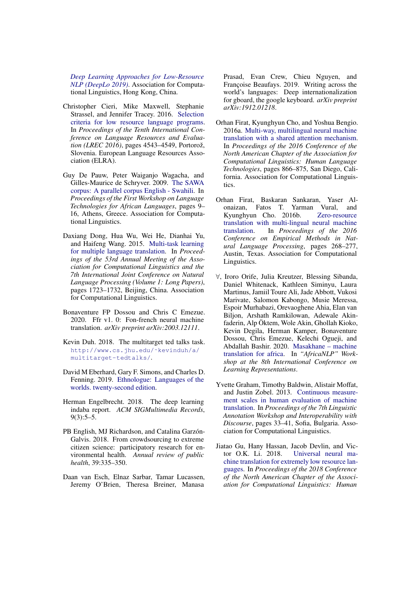*[Deep Learning Approaches for Low-Resource](https://www.aclweb.org/anthology/D19-6100) [NLP \(DeepLo 2019\)](https://www.aclweb.org/anthology/D19-6100)*. Association for Computational Linguistics, Hong Kong, China.

- <span id="page-11-1"></span>Christopher Cieri, Mike Maxwell, Stephanie Strassel, and Jennifer Tracey. 2016. [Selection](https://www.aclweb.org/anthology/L16-1720) [criteria for low resource language programs.](https://www.aclweb.org/anthology/L16-1720) In *Proceedings of the Tenth International Conference on Language Resources and Evaluation (LREC 2016)*, pages 4543–4549, Portorož, Slovenia. European Language Resources Association (ELRA).
- <span id="page-11-11"></span>Guy De Pauw, Peter Waiganjo Wagacha, and Gilles-Maurice de Schryver. 2009. [The SAWA](https://www.aclweb.org/anthology/W09-0702) [corpus: A parallel corpus English - Swahili.](https://www.aclweb.org/anthology/W09-0702) In *Proceedings of the First Workshop on Language Technologies for African Languages*, pages 9– 16, Athens, Greece. Association for Computational Linguistics.
- <span id="page-11-2"></span>Daxiang Dong, Hua Wu, Wei He, Dianhai Yu, and Haifeng Wang. 2015. [Multi-task learning](https://doi.org/10.3115/v1/P15-1166) [for multiple language translation.](https://doi.org/10.3115/v1/P15-1166) In *Proceedings of the 53rd Annual Meeting of the Association for Computational Linguistics and the 7th International Joint Conference on Natural Language Processing (Volume 1: Long Papers)*, pages 1723–1732, Beijing, China. Association for Computational Linguistics.
- <span id="page-11-10"></span>Bonaventure FP Dossou and Chris C Emezue. 2020. Ffr v1. 0: Fon-french neural machine translation. *arXiv preprint arXiv:2003.12111*.
- <span id="page-11-12"></span>Kevin Duh. 2018. The multitarget ted talks task. [http://www.cs.jhu.edu/˜kevinduh/a/](http://www.cs.jhu.edu/~kevinduh/a/multitarget-tedtalks/) [multitarget-tedtalks/](http://www.cs.jhu.edu/~kevinduh/a/multitarget-tedtalks/).
- <span id="page-11-7"></span>David M Eberhard, Gary F. Simons, and Charles D. Fenning. 2019. [Ethnologue: Languages of the](https://www.ethnologue.com/region/Africa) [worlds. twenty-second edition.](https://www.ethnologue.com/region/Africa)
- <span id="page-11-9"></span>Herman Engelbrecht. 2018. The deep learning indaba report. *ACM SIGMultimedia Records*,  $9(3):5-5.$
- <span id="page-11-6"></span>PB English, MJ Richardson, and Catalina Garzón-Galvis. 2018. From crowdsourcing to extreme citizen science: participatory research for environmental health. *Annual review of public health*, 39:335–350.
- <span id="page-11-5"></span>Daan van Esch, Elnaz Sarbar, Tamar Lucassen, Jeremy O'Brien, Theresa Breiner, Manasa

Prasad, Evan Crew, Chieu Nguyen, and Françoise Beaufays. 2019. Writing across the world's languages: Deep internationalization for gboard, the google keyboard. *arXiv preprint arXiv:1912.01218*.

- <span id="page-11-3"></span>Orhan Firat, Kyunghyun Cho, and Yoshua Bengio. 2016a. [Multi-way, multilingual neural machine](https://doi.org/10.18653/v1/N16-1101) [translation with a shared attention mechanism.](https://doi.org/10.18653/v1/N16-1101) In *Proceedings of the 2016 Conference of the North American Chapter of the Association for Computational Linguistics: Human Language Technologies*, pages 866–875, San Diego, California. Association for Computational Linguistics.
- <span id="page-11-4"></span>Orhan Firat, Baskaran Sankaran, Yaser Alonaizan, Fatos T. Yarman Vural, and Kyunghyun Cho. 2016b. [Zero-resource](https://doi.org/10.18653/v1/D16-1026) [translation with multi-lingual neural machine](https://doi.org/10.18653/v1/D16-1026) [translation.](https://doi.org/10.18653/v1/D16-1026) In *Proceedings of the 2016 Conference on Empirical Methods in Natural Language Processing*, pages 268–277, Austin, Texas. Association for Computational Linguistics.
- <span id="page-11-8"></span>∀, Iroro Orife, Julia Kreutzer, Blessing Sibanda, Daniel Whitenack, Kathleen Siminyu, Laura Martinus, Jamiil Toure Ali, Jade Abbott, Vukosi Marivate, Salomon Kabongo, Musie Meressa, Espoir Murhabazi, Orevaoghene Ahia, Elan van Biljon, Arshath Ramkilowan, Adewale Akinfaderin, Alp Öktem, Wole Akin, Ghollah Kioko, Kevin Degila, Herman Kamper, Bonaventure Dossou, Chris Emezue, Kelechi Ogueji, and Abdallah Bashir. 2020. [Masakhane – machine](https://arxiv.org/pdf/2003.11529) [translation for africa.](https://arxiv.org/pdf/2003.11529) In *"AfricaNLP" Workshop at the 8th International Conference on Learning Representations*.
- <span id="page-11-13"></span>Yvette Graham, Timothy Baldwin, Alistair Moffat, and Justin Zobel. 2013. [Continuous measure](https://www.aclweb.org/anthology/W13-2305)[ment scales in human evaluation of machine](https://www.aclweb.org/anthology/W13-2305) [translation.](https://www.aclweb.org/anthology/W13-2305) In *Proceedings of the 7th Linguistic Annotation Workshop and Interoperability with Discourse*, pages 33–41, Sofia, Bulgaria. Association for Computational Linguistics.
- <span id="page-11-0"></span>Jiatao Gu, Hany Hassan, Jacob Devlin, and Vic-[Universal neural ma](https://doi.org/10.18653/v1/N18-1032)[chine translation for extremely low resource lan](https://doi.org/10.18653/v1/N18-1032)[guages.](https://doi.org/10.18653/v1/N18-1032) In *Proceedings of the 2018 Conference of the North American Chapter of the Association for Computational Linguistics: Human*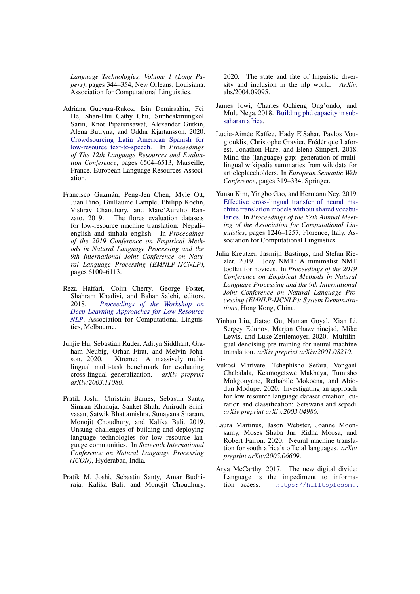*Language Technologies, Volume 1 (Long Papers)*, pages 344–354, New Orleans, Louisiana. Association for Computational Linguistics.

- <span id="page-12-10"></span>Adriana Guevara-Rukoz, Isin Demirsahin, Fei He, Shan-Hui Cathy Chu, Supheakmungkol Sarin, Knot Pipatsrisawat, Alexander Gutkin, Alena Butryna, and Oddur Kjartansson. 2020. [Crowdsourcing Latin American Spanish for](https://www.aclweb.org/anthology/2020.lrec-1.801) [low-resource text-to-speech.](https://www.aclweb.org/anthology/2020.lrec-1.801) In *Proceedings of The 12th Language Resources and Evaluation Conference*, pages 6504–6513, Marseille, France. European Language Resources Association.
- <span id="page-12-3"></span>Francisco Guzmán, Peng-Jen Chen, Myle Ott, Juan Pino, Guillaume Lample, Philipp Koehn, Vishrav Chaudhary, and Marc'Aurelio Ranzato. 2019. The flores evaluation datasets for low-resource machine translation: Nepali– english and sinhala–english. In *Proceedings of the 2019 Conference on Empirical Methods in Natural Language Processing and the 9th International Joint Conference on Natural Language Processing (EMNLP-IJCNLP)*, pages 6100–6113.
- <span id="page-12-5"></span>Reza Haffari, Colin Cherry, George Foster, Shahram Khadivi, and Bahar Salehi, editors. 2018. *[Proceedings of the Workshop on](https://www.aclweb.org/anthology/W18-3400) [Deep Learning Approaches for Low-Resource](https://www.aclweb.org/anthology/W18-3400) [NLP](https://www.aclweb.org/anthology/W18-3400)*. Association for Computational Linguistics, Melbourne.
- <span id="page-12-4"></span>Junjie Hu, Sebastian Ruder, Aditya Siddhant, Graham Neubig, Orhan Firat, and Melvin Johnson. 2020. Xtreme: A massively multilingual multi-task benchmark for evaluating cross-lingual generalization. *arXiv preprint arXiv:2003.11080*.
- <span id="page-12-6"></span>Pratik Joshi, Christain Barnes, Sebastin Santy, Simran Khanuja, Sanket Shah, Anirudh Srinivasan, Satwik Bhattamishra, Sunayana Sitaram, Monojit Choudhury, and Kalika Bali. 2019. Unsung challenges of building and deploying language technologies for low resource language communities. In *Sixteenth International Conference on Natural Language Processing (ICON)*, Hyderabad, India.
- <span id="page-12-2"></span>Pratik M. Joshi, Sebastin Santy, Amar Budhiraja, Kalika Bali, and Monojit Choudhury.

2020. The state and fate of linguistic diversity and inclusion in the nlp world. *ArXiv*, abs/2004.09095.

- <span id="page-12-1"></span>James Jowi, Charles Ochieng Ong'ondo, and Mulu Nega. 2018. [Building phd capacity in sub](https://www.britishcouncil.org/education/ihe/knowledge-centre/developing-talent-employability/phd-capacities-sub-saharan-afric)[saharan africa.](https://www.britishcouncil.org/education/ihe/knowledge-centre/developing-talent-employability/phd-capacities-sub-saharan-afric)
- <span id="page-12-9"></span>Lucie-Aimée Kaffee, Hady ElSahar, Pavlos Vougiouklis, Christophe Gravier, Frédérique Laforest, Jonathon Hare, and Elena Simperl. 2018. Mind the (language) gap: generation of multilingual wikipedia summaries from wikidata for articleplaceholders. In *European Semantic Web Conference*, pages 319–334. Springer.
- <span id="page-12-7"></span>Yunsu Kim, Yingbo Gao, and Hermann Ney. 2019. [Effective cross-lingual transfer of neural ma](https://doi.org/10.18653/v1/P19-1120)[chine translation models without shared vocabu](https://doi.org/10.18653/v1/P19-1120)[laries.](https://doi.org/10.18653/v1/P19-1120) In *Proceedings of the 57th Annual Meeting of the Association for Computational Linguistics*, pages 1246–1257, Florence, Italy. Association for Computational Linguistics.
- <span id="page-12-11"></span>Julia Kreutzer, Jasmijn Bastings, and Stefan Riezler. 2019. Joey NMT: A minimalist NMT toolkit for novices. In *Proceedings of the 2019 Conference on Empirical Methods in Natural Language Processing and the 9th International Joint Conference on Natural Language Processing (EMNLP-IJCNLP): System Demonstrations*, Hong Kong, China.
- <span id="page-12-8"></span>Yinhan Liu, Jiatao Gu, Naman Goyal, Xian Li, Sergey Edunov, Marjan Ghazvininejad, Mike Lewis, and Luke Zettlemoyer. 2020. Multilingual denoising pre-training for neural machine translation. *arXiv preprint arXiv:2001.08210*.
- <span id="page-12-13"></span>Vukosi Marivate, Tshephisho Sefara, Vongani Chabalala, Keamogetswe Makhaya, Tumisho Mokgonyane, Rethabile Mokoena, and Abiodun Modupe. 2020. Investigating an approach for low resource language dataset creation, curation and classification: Setswana and sepedi. *arXiv preprint arXiv:2003.04986*.
- <span id="page-12-12"></span>Laura Martinus, Jason Webster, Joanne Moonsamy, Moses Shaba Jnr, Ridha Moosa, and Robert Fairon. 2020. Neural machine translation for south africa's official languages. *arXiv preprint arXiv:2005.06609*.
- <span id="page-12-0"></span>Arya McCarthy. 2017. The new digital divide: Language is the impediment to information access. [https://hilltopicssmu.](https://hilltopicssmu.wordpress.com/2017/04/08/the-new-digital-divide-language-is-the-impediment-to-information-access/)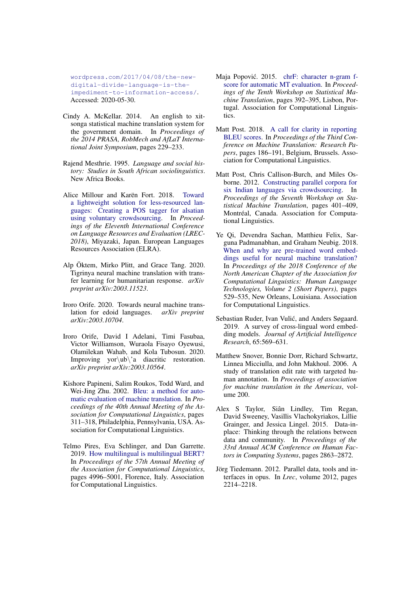[wordpress.com/2017/04/08/the-new](https://hilltopicssmu.wordpress.com/2017/04/08/the-new-digital-divide-language-is-the-impediment-to-information-access/)[digital-divide-language-is-the](https://hilltopicssmu.wordpress.com/2017/04/08/the-new-digital-divide-language-is-the-impediment-to-information-access/)[impediment-to-information-access/](https://hilltopicssmu.wordpress.com/2017/04/08/the-new-digital-divide-language-is-the-impediment-to-information-access/). Accessed: 2020-05-30.

- <span id="page-13-9"></span>Cindy A. McKellar. 2014. An english to xitsonga statistical machine translation system for the government domain. In *Proceedings of the 2014 PRASA, RobMech and AfLaT International Joint Symposium*, pages 229–233.
- <span id="page-13-5"></span>Rajend Mesthrie. 1995. *Language and social history: Studies in South African sociolinguistics*. New Africa Books.
- <span id="page-13-4"></span>Alice Millour and Karën Fort. 2018. [Toward](https://www.aclweb.org/anthology/L18-1071) [a lightweight solution for less-resourced lan](https://www.aclweb.org/anthology/L18-1071)[guages: Creating a POS tagger for alsatian](https://www.aclweb.org/anthology/L18-1071) [using voluntary crowdsourcing.](https://www.aclweb.org/anthology/L18-1071) In *Proceedings of the Eleventh International Conference on Language Resources and Evaluation (LREC-2018)*, Miyazaki, Japan. European Languages Resources Association (ELRA).
- <span id="page-13-8"></span>Alp Öktem, Mirko Plitt, and Grace Tang. 2020. Tigrinya neural machine translation with transfer learning for humanitarian response. *arXiv preprint arXiv:2003.11523*.
- <span id="page-13-6"></span>Iroro Orife. 2020. Towards neural machine translation for edoid languages. *arXiv preprint arXiv:2003.10704*.
- <span id="page-13-7"></span>Iroro Orife, David I Adelani, Timi Fasubaa, Victor Williamson, Wuraola Fisayo Oyewusi, Olamilekan Wahab, and Kola Tubosun. 2020. Improving yor\ub\'a diacritic restoration. *arXiv preprint arXiv:2003.10564*.
- <span id="page-13-13"></span>Kishore Papineni, Salim Roukos, Todd Ward, and Wei-Jing Zhu. 2002. [Bleu: a method for auto](https://doi.org/10.3115/1073083.1073135)[matic evaluation of machine translation.](https://doi.org/10.3115/1073083.1073135) In *Proceedings of the 40th Annual Meeting of the Association for Computational Linguistics*, pages 311–318, Philadelphia, Pennsylvania, USA. Association for Computational Linguistics.
- <span id="page-13-3"></span>Telmo Pires, Eva Schlinger, and Dan Garrette. 2019. [How multilingual is multilingual BERT?](https://doi.org/10.18653/v1/P19-1493) In *Proceedings of the 57th Annual Meeting of the Association for Computational Linguistics*, pages 4996–5001, Florence, Italy. Association for Computational Linguistics.
- <span id="page-13-14"></span>Maja Popović. 2015. [chrF: character n-gram f](https://doi.org/10.18653/v1/W15-3049)[score for automatic MT evaluation.](https://doi.org/10.18653/v1/W15-3049) In *Proceedings of the Tenth Workshop on Statistical Machine Translation*, pages 392–395, Lisbon, Portugal. Association for Computational Linguistics.
- <span id="page-13-15"></span>Matt Post. 2018. [A call for clarity in reporting](https://doi.org/10.18653/v1/W18-6319) [BLEU scores.](https://doi.org/10.18653/v1/W18-6319) In *Proceedings of the Third Conference on Machine Translation: Research Papers*, pages 186–191, Belgium, Brussels. Association for Computational Linguistics.
- <span id="page-13-11"></span>Matt Post, Chris Callison-Burch, and Miles Osborne. 2012. [Constructing parallel corpora for](https://www.aclweb.org/anthology/W12-3152) [six Indian languages via crowdsourcing.](https://www.aclweb.org/anthology/W12-3152) In *Proceedings of the Seventh Workshop on Statistical Machine Translation*, pages 401–409, Montréal, Canada. Association for Computational Linguistics.
- <span id="page-13-1"></span>Ye Qi, Devendra Sachan, Matthieu Felix, Sarguna Padmanabhan, and Graham Neubig. 2018. [When and why are pre-trained word embed](https://doi.org/10.18653/v1/N18-2084)[dings useful for neural machine translation?](https://doi.org/10.18653/v1/N18-2084) In *Proceedings of the 2018 Conference of the North American Chapter of the Association for Computational Linguistics: Human Language Technologies, Volume 2 (Short Papers)*, pages 529–535, New Orleans, Louisiana. Association for Computational Linguistics.
- <span id="page-13-0"></span>Sebastian Ruder, Ivan Vulić, and Anders Søgaard. 2019. A survey of cross-lingual word embedding models. *Journal of Artificial Intelligence Research*, 65:569–631.
- <span id="page-13-12"></span>Matthew Snover, Bonnie Dorr, Richard Schwartz, Linnea Micciulla, and John Makhoul. 2006. A study of translation edit rate with targeted human annotation. In *Proceedings of association for machine translation in the Americas*, volume 200.
- <span id="page-13-2"></span>Alex S Taylor, Siân Lindley, Tim Regan, David Sweeney, Vasillis Vlachokyriakos, Lillie Grainger, and Jessica Lingel. 2015. Data-inplace: Thinking through the relations between data and community. In *Proceedings of the 33rd Annual ACM Conference on Human Factors in Computing Systems*, pages 2863–2872.
- <span id="page-13-10"></span>Jörg Tiedemann. 2012. Parallel data, tools and interfaces in opus. In *Lrec*, volume 2012, pages 2214–2218.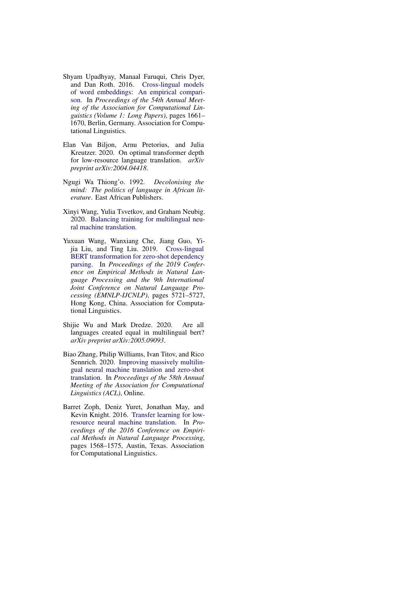- <span id="page-14-3"></span>Shyam Upadhyay, Manaal Faruqui, Chris Dyer, and Dan Roth. 2016. [Cross-lingual models](https://doi.org/10.18653/v1/P16-1157) [of word embeddings: An empirical compari](https://doi.org/10.18653/v1/P16-1157)[son.](https://doi.org/10.18653/v1/P16-1157) In *Proceedings of the 54th Annual Meeting of the Association for Computational Linguistics (Volume 1: Long Papers)*, pages 1661– 1670, Berlin, Germany. Association for Computational Linguistics.
- <span id="page-14-7"></span>Elan Van Biljon, Arnu Pretorius, and Julia Kreutzer. 2020. On optimal transformer depth for low-resource language translation. *arXiv preprint arXiv:2004.04418*.
- <span id="page-14-1"></span>Ngugi Wa Thiong'o. 1992. *Decolonising the mind: The politics of language in African literature*. East African Publishers.
- <span id="page-14-5"></span>Xinyi Wang, Yulia Tsvetkov, and Graham Neubig. 2020. [Balancing training for multilingual neu](http://arxiv.org/abs/2004.06748)[ral machine translation.](http://arxiv.org/abs/2004.06748)
- <span id="page-14-4"></span>Yuxuan Wang, Wanxiang Che, Jiang Guo, Yijia Liu, and Ting Liu. 2019. [Cross-lingual](https://doi.org/10.18653/v1/D19-1575) [BERT transformation for zero-shot dependency](https://doi.org/10.18653/v1/D19-1575) [parsing.](https://doi.org/10.18653/v1/D19-1575) In *Proceedings of the 2019 Conference on Empirical Methods in Natural Language Processing and the 9th International Joint Conference on Natural Language Processing (EMNLP-IJCNLP)*, pages 5721–5727, Hong Kong, China. Association for Computational Linguistics.
- <span id="page-14-2"></span>Shijie Wu and Mark Dredze. 2020. Are all languages created equal in multilingual bert? *arXiv preprint arXiv:2005.09093*.
- <span id="page-14-6"></span>Biao Zhang, Philip Williams, Ivan Titov, and Rico Sennrich. 2020. [Improving massively multilin](https://doi.org/10.18653/v1/2020.acl-main.148)[gual neural machine translation and zero-shot](https://doi.org/10.18653/v1/2020.acl-main.148) [translation.](https://doi.org/10.18653/v1/2020.acl-main.148) In *Proceedings of the 58th Annual Meeting of the Association for Computational Linguistics (ACL)*, Online.
- <span id="page-14-0"></span>Barret Zoph, Deniz Yuret, Jonathan May, and Kevin Knight. 2016. [Transfer learning for low](https://doi.org/10.18653/v1/D16-1163)[resource neural machine translation.](https://doi.org/10.18653/v1/D16-1163) In *Proceedings of the 2016 Conference on Empirical Methods in Natural Language Processing*, pages 1568–1575, Austin, Texas. Association for Computational Linguistics.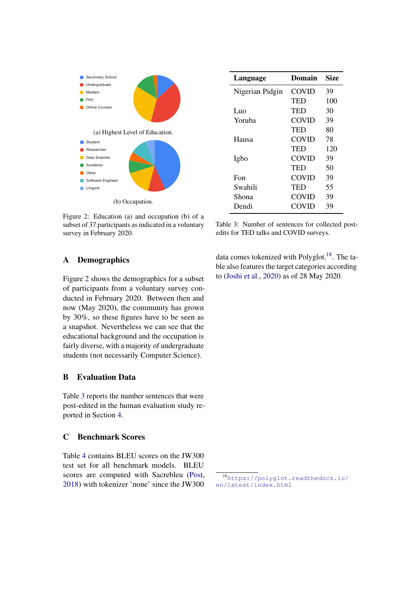<span id="page-15-4"></span>

Figure 2: Education (a) and occupation (b) of a subset of 37 participants as indicated in a voluntary survey in February 2020.

<span id="page-15-0"></span>

| A | <b>Demographics</b> |
|---|---------------------|
|---|---------------------|

Figure [2](#page-15-4) shows the demographics for a subset of participants from a voluntary survey conducted in February 2020. Between then and now (May 2020), the community has grown by 30%, so these figures have to be seen as a snapshot. Nevertheless we can see that the educational background and the occupation is fairly diverse, with a majority of undergraduate students (not necessarily Computer Science).

# <span id="page-15-3"></span>B Evaluation Data

Table [3](#page-15-2) reports the number sentences that were post-edited in the human evaluation study reported in Section [4.](#page-4-0)

## <span id="page-15-1"></span>C Benchmark Scores

Table [4](#page-16-0) contains BLEU scores on the JW300 test set for all benchmark models. BLEU scores are computed with Sacrebleu [\(Post,](#page-13-15) [2018\)](#page-13-15) with tokenizer 'none' since the JW300

<span id="page-15-2"></span>

| Language        | Domain       | Size |
|-----------------|--------------|------|
| Nigerian Pidgin | <b>COVID</b> | 39   |
|                 | TED          | 100  |
| Luo             | TED          | 30   |
| Yoruba          | <b>COVID</b> | 39   |
|                 | TED          | 80   |
| Hausa           | COVID        | 78   |
|                 | TED          | 120  |
| Igbo            | COVID        | 39   |
|                 | TED          | 50   |
| Fon             | COVID        | 39   |
| Swahili         | TED          | 55   |
| Shona           | COVID        | 39   |
| Dendi           | COVID        | 39   |
|                 |              |      |

Table 3: Number of sentences for collected postedits for TED talks and COVID surveys.

data comes tokenized with Polyglot.<sup>[18](#page-15-5)</sup>. The table also features the target categories according to [\(Joshi et al.,](#page-12-2) [2020\)](#page-12-2) as of 28 May 2020.

<span id="page-15-5"></span><sup>18</sup>[https://polyglot.readthedocs.io/](https://polyglot.readthedocs.io/en/latest/index.html) [en/latest/index.html](https://polyglot.readthedocs.io/en/latest/index.html)